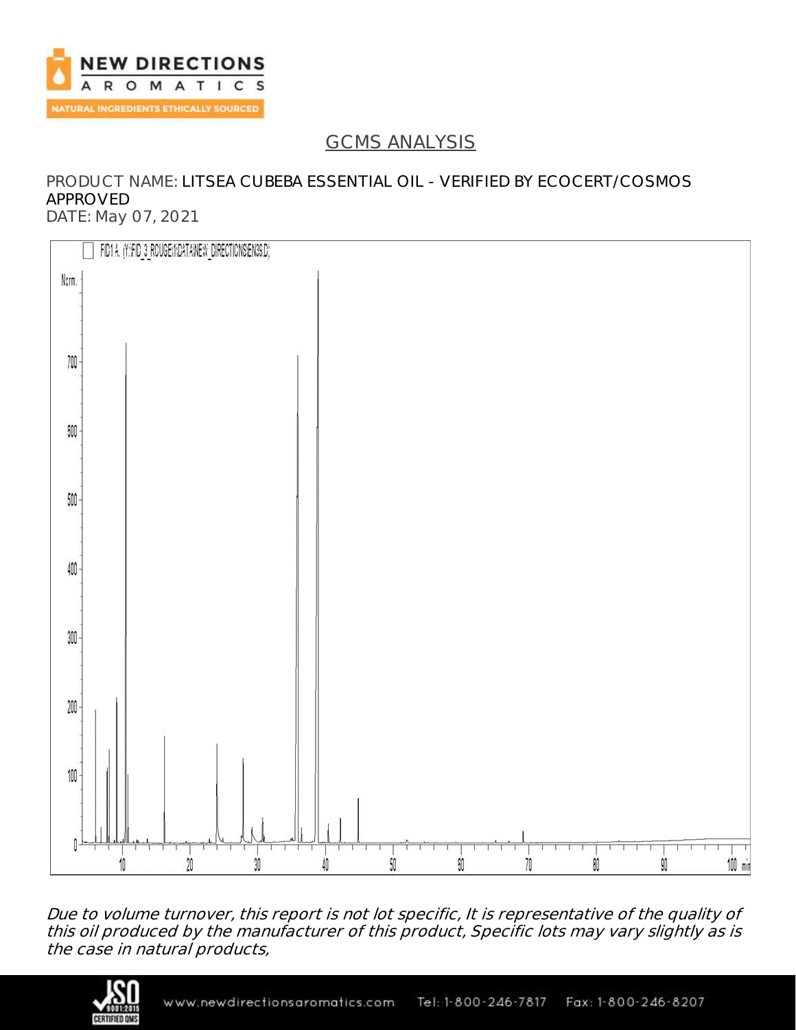

## GCMS ANALYSIS

# PRODUCT NAME: LITSEA CUBEBA ESSENTIAL OIL - VERIFIED BY ECOCERT/COSMOS APPROVED

DATE: May 07, 2021



Due to volume turnover, this report is not lot specific, It is representative of the quality of this oil produced by the manufacturer of this product, Specific lots may vary slightly as is the case in natural products,

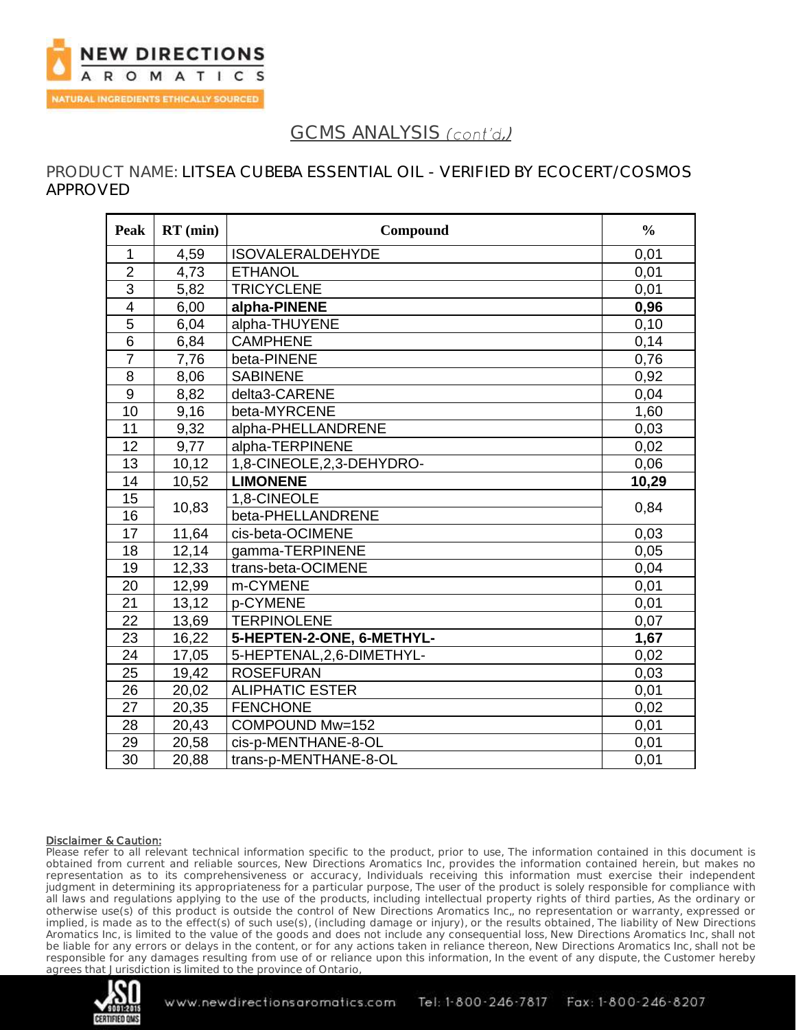

PRODUCT NAME: LITSEA CUBEBA ESSENTIAL OIL - VERIFIED BY ECOCERT/COSMOS APPROVED

| Peak           | $RT$ (min) | Compound                   | $\frac{0}{0}$ |
|----------------|------------|----------------------------|---------------|
| 1              | 4,59       | <b>ISOVALERALDEHYDE</b>    | 0,01          |
| $\overline{2}$ | 4,73       | <b>ETHANOL</b>             | 0,01          |
| $\overline{3}$ | 5,82       | <b>TRICYCLENE</b>          | 0,01          |
| $\overline{4}$ | 6,00       | alpha-PINENE               | 0,96          |
| 5              | 6,04       | alpha-THUYENE              | 0,10          |
| 6              | 6,84       | <b>CAMPHENE</b>            | 0,14          |
| $\overline{7}$ | 7,76       | beta-PINENE                | 0,76          |
| $\overline{8}$ | 8,06       | <b>SABINENE</b>            | 0,92          |
| $\overline{9}$ | 8,82       | delta3-CARENE              | 0,04          |
| 10             | 9,16       | beta-MYRCENE               | 1,60          |
| 11             | 9,32       | alpha-PHELLANDRENE         | 0,03          |
| 12             | 9,77       | alpha-TERPINENE            | 0,02          |
| 13             | 10,12      | 1,8-CINEOLE,2,3-DEHYDRO-   | 0,06          |
| 14             | 10,52      | <b>LIMONENE</b>            | 10,29         |
| 15             |            | 1,8-CINEOLE                | 0,84          |
| 16             | 10,83      | beta-PHELLANDRENE          |               |
| 17             | 11,64      | cis-beta-OCIMENE           | 0,03          |
| 18             | 12,14      | gamma-TERPINENE            | 0,05          |
| 19             | 12,33      | trans-beta-OCIMENE         | 0,04          |
| 20             | 12,99      | m-CYMENE                   | 0,01          |
| 21             | 13,12      | p-CYMENE                   | 0,01          |
| 22             | 13,69      | <b>TERPINOLENE</b>         | 0,07          |
| 23             | 16,22      | 5-HEPTEN-2-ONE, 6-METHYL-  | 1,67          |
| 24             | 17,05      | 5-HEPTENAL, 2, 6-DIMETHYL- | 0,02          |
| 25             | 19,42      | <b>ROSEFURAN</b>           | 0,03          |
| 26             | 20,02      | <b>ALIPHATIC ESTER</b>     | 0,01          |
| 27             | 20,35      | <b>FENCHONE</b>            | 0,02          |
| 28             | 20,43      | COMPOUND Mw=152            | 0,01          |
| 29             | 20,58      | cis-p-MENTHANE-8-OL        | 0,01          |
| 30             | 20,88      | trans-p-MENTHANE-8-OL      | 0,01          |

#### Disclaimer & Caution:

Please refer to all relevant technical information specific to the product, prior to use, The information contained in this document is obtained from current and reliable sources, New Directions Aromatics Inc, provides the information contained herein, but makes no representation as to its comprehensiveness or accuracy, Individuals receiving this information must exercise their independent judgment in determining its appropriateness for a particular purpose, The user of the product is solely responsible for compliance with all laws and regulations applying to the use of the products, including intellectual property rights of third parties, As the ordinary or otherwise use(s) of this product is outside the control of New Directions Aromatics Inc,, no representation or warranty, expressed or implied, is made as to the effect(s) of such use(s), (including damage or injury), or the results obtained, The liability of New Directions Aromatics Inc, is limited to the value of the goods and does not include any consequential loss, New Directions Aromatics Inc, shall not be liable for any errors or delays in the content, or for any actions taken in reliance thereon, New Directions Aromatics Inc, shall not be responsible for any damages resulting from use of or reliance upon this information, In the event of any dispute, the Customer hereby agrees that Jurisdiction is limited to the province of Ontario,

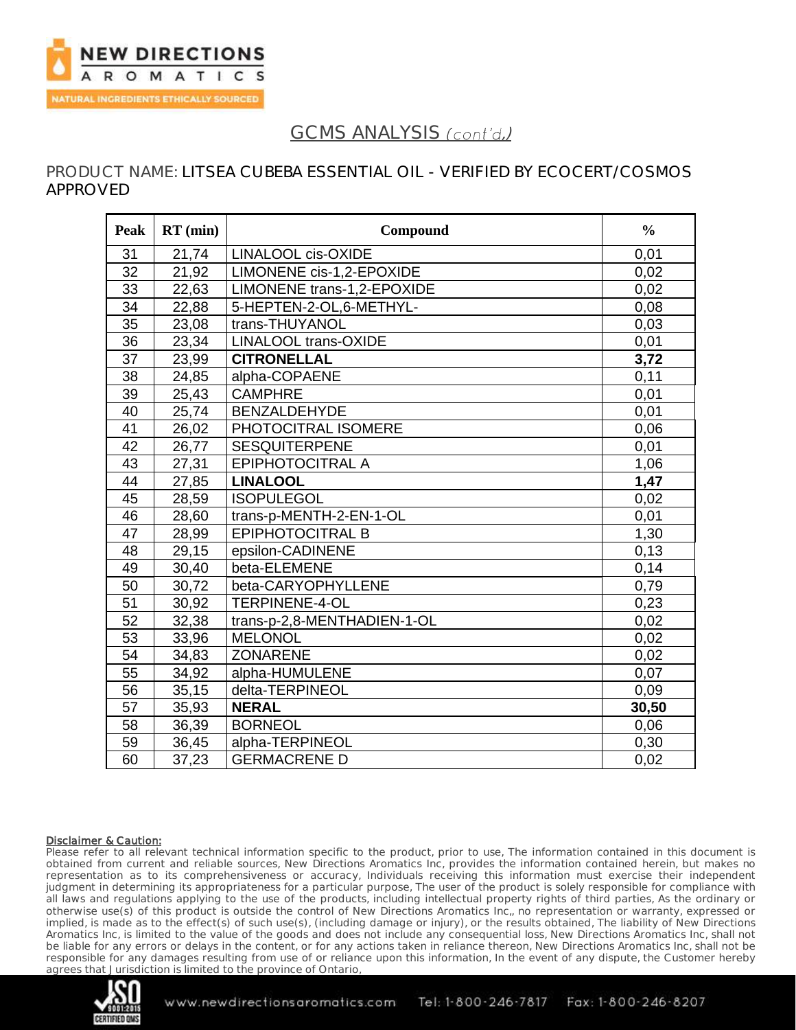

PRODUCT NAME: LITSEA CUBEBA ESSENTIAL OIL - VERIFIED BY ECOCERT/COSMOS APPROVED

| Peak            | $RT$ (min) | Compound                    | $\frac{0}{0}$ |
|-----------------|------------|-----------------------------|---------------|
| 31              | 21,74      | <b>LINALOOL cis-OXIDE</b>   | 0,01          |
| 32              | 21,92      | LIMONENE cis-1,2-EPOXIDE    | 0,02          |
| 33              | 22,63      | LIMONENE trans-1,2-EPOXIDE  | 0,02          |
| 34              | 22,88      | 5-HEPTEN-2-OL,6-METHYL-     | 0,08          |
| 35              | 23,08      | trans-THUYANOL              | 0,03          |
| 36              | 23,34      | <b>LINALOOL trans-OXIDE</b> | 0,01          |
| 37              | 23,99      | <b>CITRONELLAL</b>          | 3,72          |
| 38              | 24,85      | alpha-COPAENE               | 0,11          |
| 39              | 25,43      | <b>CAMPHRE</b>              | 0,01          |
| 40              | 25,74      | BENZALDEHYDE                | 0,01          |
| 41              | 26,02      | PHOTOCITRAL ISOMERE         | 0,06          |
| 42              | 26,77      | <b>SESQUITERPENE</b>        | 0,01          |
| 43              | 27,31      | <b>EPIPHOTOCITRAL A</b>     | 1,06          |
| 44              | 27,85      | <b>LINALOOL</b>             | 1,47          |
| 45              | 28,59      | <b>ISOPULEGOL</b>           | 0,02          |
| 46              | 28,60      | trans-p-MENTH-2-EN-1-OL     | 0,01          |
| 47              | 28,99      | <b>EPIPHOTOCITRAL B</b>     | 1,30          |
| 48              | 29,15      | epsilon-CADINENE            | 0,13          |
| 49              | 30,40      | beta-ELEMENE                | 0,14          |
| $\overline{50}$ | 30,72      | beta-CARYOPHYLLENE          | 0,79          |
| 51              | 30,92      | <b>TERPINENE-4-OL</b>       | 0,23          |
| 52              | 32,38      | trans-p-2,8-MENTHADIEN-1-OL | 0,02          |
| 53              | 33,96      | <b>MELONOL</b>              | 0,02          |
| 54              | 34,83      | <b>ZONARENE</b>             | 0,02          |
| 55              | 34,92      | alpha-HUMULENE              | 0,07          |
| 56              | 35,15      | delta-TERPINEOL             | 0,09          |
| $\overline{57}$ | 35,93      | <b>NERAL</b>                | 30,50         |
| 58              | 36,39      | <b>BORNEOL</b>              | 0,06          |
| 59              | 36,45      | alpha-TERPINEOL             | 0,30          |
| 60              | 37,23      | <b>GERMACRENE D</b>         | 0,02          |

#### Disclaimer & Caution:

Please refer to all relevant technical information specific to the product, prior to use, The information contained in this document is obtained from current and reliable sources, New Directions Aromatics Inc, provides the information contained herein, but makes no representation as to its comprehensiveness or accuracy, Individuals receiving this information must exercise their independent judgment in determining its appropriateness for a particular purpose, The user of the product is solely responsible for compliance with all laws and regulations applying to the use of the products, including intellectual property rights of third parties, As the ordinary or otherwise use(s) of this product is outside the control of New Directions Aromatics Inc,, no representation or warranty, expressed or implied, is made as to the effect(s) of such use(s), (including damage or injury), or the results obtained, The liability of New Directions Aromatics Inc, is limited to the value of the goods and does not include any consequential loss, New Directions Aromatics Inc, shall not be liable for any errors or delays in the content, or for any actions taken in reliance thereon, New Directions Aromatics Inc, shall not be responsible for any damages resulting from use of or reliance upon this information, In the event of any dispute, the Customer hereby agrees that Jurisdiction is limited to the province of Ontario,



www.newdirectionsaromatics.com Tel: 1-800-246-7817 Fax: 1-800-246-8207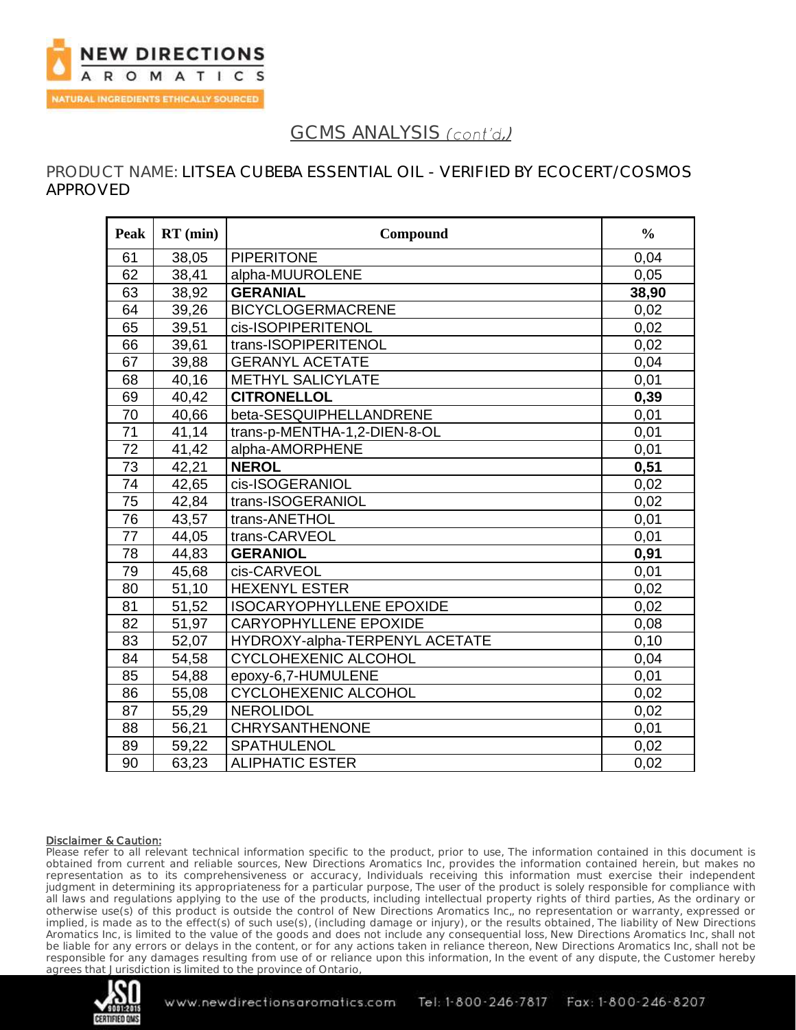

PRODUCT NAME: LITSEA CUBEBA ESSENTIAL OIL - VERIFIED BY ECOCERT/COSMOS APPROVED

| Peak            | $RT$ (min) | Compound                        | $\frac{0}{0}$ |
|-----------------|------------|---------------------------------|---------------|
| 61              | 38,05      | <b>PIPERITONE</b>               | 0,04          |
| 62              | 38,41      | alpha-MUUROLENE                 | 0,05          |
| 63              | 38,92      | <b>GERANIAL</b>                 | 38,90         |
| 64              | 39,26      | <b>BICYCLOGERMACRENE</b>        | 0,02          |
| 65              | 39,51      | cis-ISOPIPERITENOL              | 0,02          |
| 66              | 39,61      | trans-ISOPIPERITENOL            | 0,02          |
| 67              | 39,88      | <b>GERANYL ACETATE</b>          | 0,04          |
| 68              | 40,16      | <b>METHYL SALICYLATE</b>        | 0,01          |
| 69              | 40,42      | <b>CITRONELLOL</b>              | 0,39          |
| 70              | 40,66      | beta-SESQUIPHELLANDRENE         | 0,01          |
| 71              | 41,14      | trans-p-MENTHA-1,2-DIEN-8-OL    | 0,01          |
| 72              | 41,42      | alpha-AMORPHENE                 | 0,01          |
| $\overline{73}$ | 42,21      | <b>NEROL</b>                    | 0,51          |
| 74              | 42,65      | cis-ISOGERANIOL                 | 0,02          |
| 75              | 42,84      | trans-ISOGERANIOL               | 0,02          |
| 76              | 43,57      | trans-ANETHOL                   | 0,01          |
| 77              | 44,05      | trans-CARVEOL                   | 0,01          |
| 78              | 44,83      | <b>GERANIOL</b>                 | 0,91          |
| 79              | 45,68      | cis-CARVEOL                     | 0,01          |
| 80              | 51,10      | <b>HEXENYL ESTER</b>            | 0,02          |
| 81              | 51,52      | <b>ISOCARYOPHYLLENE EPOXIDE</b> | 0,02          |
| 82              | 51,97      | <b>CARYOPHYLLENE EPOXIDE</b>    | 0,08          |
| 83              | 52,07      | HYDROXY-alpha-TERPENYL ACETATE  | 0, 10         |
| 84              | 54,58      | CYCLOHEXENIC ALCOHOL            | 0,04          |
| 85              | 54,88      | epoxy-6,7-HUMULENE              | 0,01          |
| 86              | 55,08      | <b>CYCLOHEXENIC ALCOHOL</b>     | 0,02          |
| 87              | 55,29      | <b>NEROLIDOL</b>                | 0,02          |
| 88              | 56,21      | <b>CHRYSANTHENONE</b>           | 0,01          |
| 89              | 59,22      | SPATHULENOL                     | 0,02          |
| 90              | 63,23      | <b>ALIPHATIC ESTER</b>          | 0,02          |

#### Disclaimer & Caution:

Please refer to all relevant technical information specific to the product, prior to use, The information contained in this document is obtained from current and reliable sources, New Directions Aromatics Inc, provides the information contained herein, but makes no representation as to its comprehensiveness or accuracy, Individuals receiving this information must exercise their independent judgment in determining its appropriateness for a particular purpose, The user of the product is solely responsible for compliance with all laws and regulations applying to the use of the products, including intellectual property rights of third parties, As the ordinary or otherwise use(s) of this product is outside the control of New Directions Aromatics Inc,, no representation or warranty, expressed or implied, is made as to the effect(s) of such use(s), (including damage or injury), or the results obtained, The liability of New Directions Aromatics Inc, is limited to the value of the goods and does not include any consequential loss, New Directions Aromatics Inc, shall not be liable for any errors or delays in the content, or for any actions taken in reliance thereon, New Directions Aromatics Inc, shall not be responsible for any damages resulting from use of or reliance upon this information, In the event of any dispute, the Customer hereby agrees that Jurisdiction is limited to the province of Ontario,



www.newdirectionsaromatics.com Tel: 1-800-246-7817 Fax: 1-800-246-8207